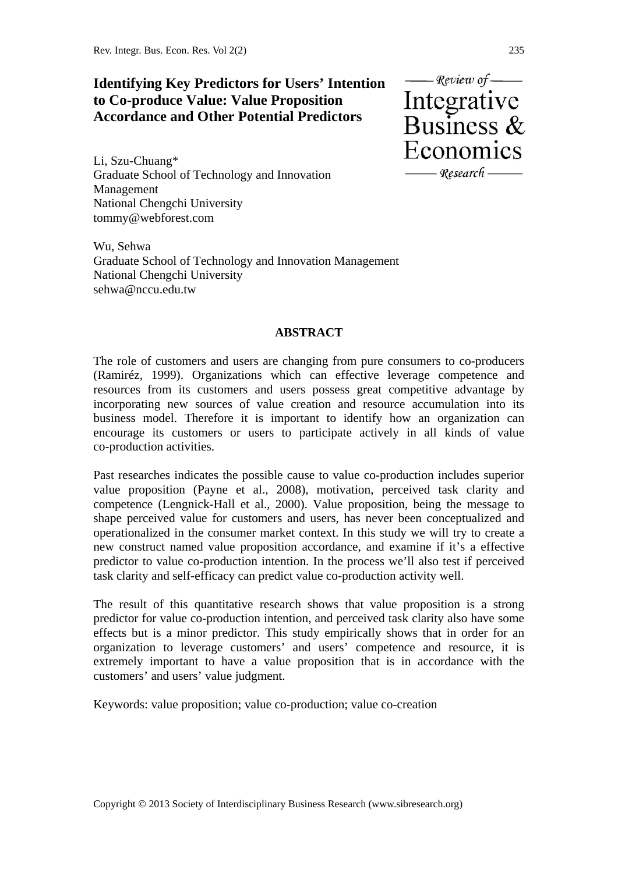# **Identifying Key Predictors for Users' Intention to Co-produce Value: Value Proposition Accordance and Other Potential Predictors**

Li, Szu-Chuang\* Graduate School of Technology and Innovation Management National Chengchi University tommy@webforest.com

Wu, Sehwa Graduate School of Technology and Innovation Management National Chengchi University sehwa@nccu.edu.tw

### **ABSTRACT**

The role of customers and users are changing from pure consumers to co-producers (Ramiréz, 1999). Organizations which can effective leverage competence and resources from its customers and users possess great competitive advantage by incorporating new sources of value creation and resource accumulation into its business model. Therefore it is important to identify how an organization can encourage its customers or users to participate actively in all kinds of value co-production activities.

Past researches indicates the possible cause to value co-production includes superior value proposition (Payne et al., 2008), motivation, perceived task clarity and competence (Lengnick-Hall et al., 2000). Value proposition, being the message to shape perceived value for customers and users, has never been conceptualized and operationalized in the consumer market context. In this study we will try to create a new construct named value proposition accordance, and examine if it's a effective predictor to value co-production intention. In the process we'll also test if perceived task clarity and self-efficacy can predict value co-production activity well.

The result of this quantitative research shows that value proposition is a strong predictor for value co-production intention, and perceived task clarity also have some effects but is a minor predictor. This study empirically shows that in order for an organization to leverage customers' and users' competence and resource, it is extremely important to have a value proposition that is in accordance with the customers' and users' value judgment.

Keywords: value proposition; value co-production; value co-creation

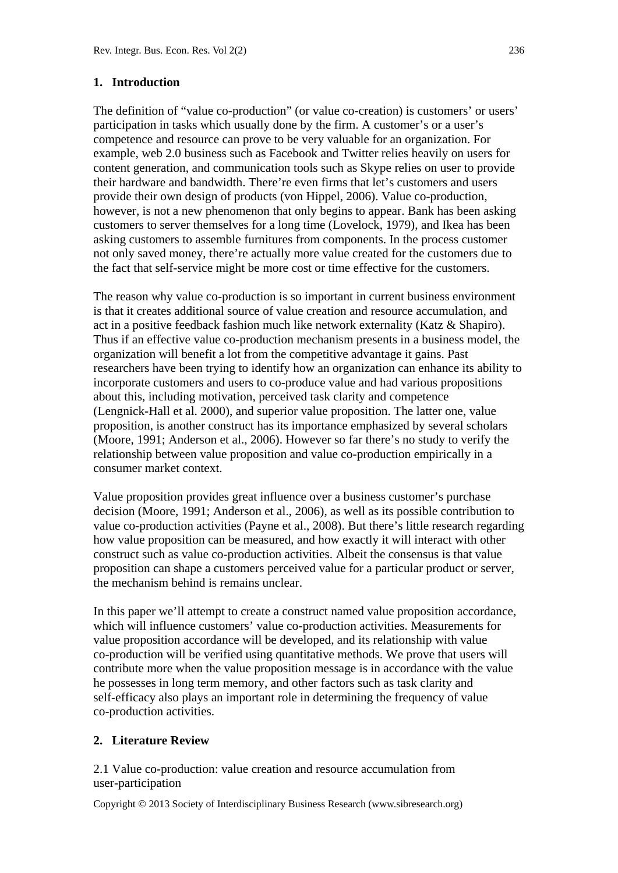#### **1. Introduction**

The definition of "value co-production" (or value co-creation) is customers' or users' participation in tasks which usually done by the firm. A customer's or a user's competence and resource can prove to be very valuable for an organization. For example, web 2.0 business such as Facebook and Twitter relies heavily on users for content generation, and communication tools such as Skype relies on user to provide their hardware and bandwidth. There're even firms that let's customers and users provide their own design of products (von Hippel, 2006). Value co-production, however, is not a new phenomenon that only begins to appear. Bank has been asking customers to server themselves for a long time (Lovelock, 1979), and Ikea has been asking customers to assemble furnitures from components. In the process customer not only saved money, there're actually more value created for the customers due to the fact that self-service might be more cost or time effective for the customers.

The reason why value co-production is so important in current business environment is that it creates additional source of value creation and resource accumulation, and act in a positive feedback fashion much like network externality (Katz & Shapiro). Thus if an effective value co-production mechanism presents in a business model, the organization will benefit a lot from the competitive advantage it gains. Past researchers have been trying to identify how an organization can enhance its ability to incorporate customers and users to co-produce value and had various propositions about this, including motivation, perceived task clarity and competence (Lengnick-Hall et al. 2000), and superior value proposition. The latter one, value proposition, is another construct has its importance emphasized by several scholars (Moore, 1991; Anderson et al., 2006). However so far there's no study to verify the relationship between value proposition and value co-production empirically in a consumer market context.

Value proposition provides great influence over a business customer's purchase decision (Moore, 1991; Anderson et al., 2006), as well as its possible contribution to value co-production activities (Payne et al., 2008). But there's little research regarding how value proposition can be measured, and how exactly it will interact with other construct such as value co-production activities. Albeit the consensus is that value proposition can shape a customers perceived value for a particular product or server, the mechanism behind is remains unclear.

In this paper we'll attempt to create a construct named value proposition accordance, which will influence customers' value co-production activities. Measurements for value proposition accordance will be developed, and its relationship with value co-production will be verified using quantitative methods. We prove that users will contribute more when the value proposition message is in accordance with the value he possesses in long term memory, and other factors such as task clarity and self-efficacy also plays an important role in determining the frequency of value co-production activities.

#### **2. Literature Review**

2.1 Value co-production: value creation and resource accumulation from user-participation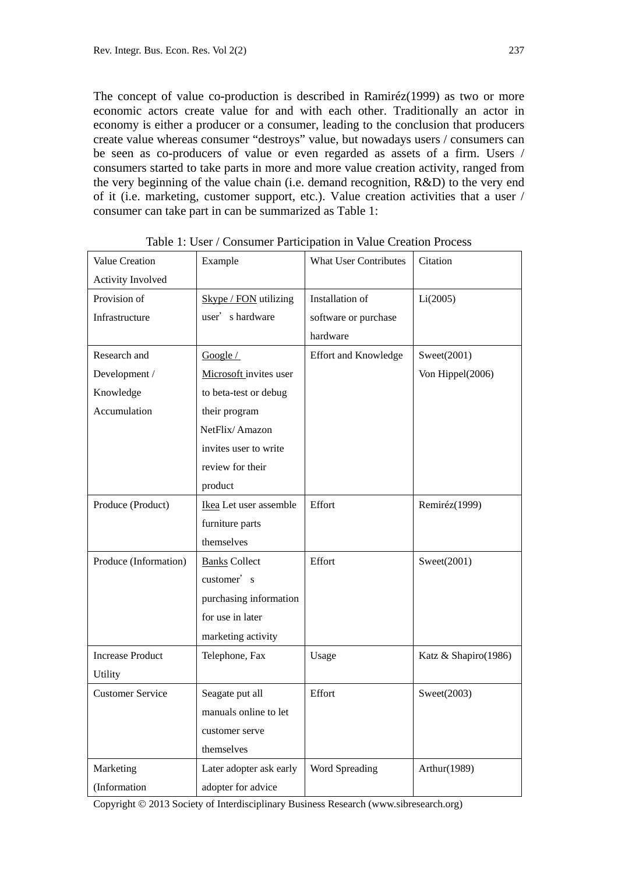The concept of value co-production is described in Ramiréz(1999) as two or more economic actors create value for and with each other. Traditionally an actor in economy is either a producer or a consumer, leading to the conclusion that producers create value whereas consumer "destroys" value, but nowadays users / consumers can be seen as co-producers of value or even regarded as assets of a firm. Users / consumers started to take parts in more and more value creation activity, ranged from the very beginning of the value chain (i.e. demand recognition, R&D) to the very end of it (i.e. marketing, customer support, etc.). Value creation activities that a user / consumer can take part in can be summarized as Table 1:

| Value Creation          | Example                 | <b>What User Contributes</b> | Citation             |
|-------------------------|-------------------------|------------------------------|----------------------|
| Activity Involved       |                         |                              |                      |
| Provision of            | Skype / FON utilizing   | Installation of              | Li(2005)             |
| Infrastructure          | user's hardware         | software or purchase         |                      |
|                         |                         | hardware                     |                      |
| Research and            | Google /                | <b>Effort and Knowledge</b>  | Sweet(2001)          |
| Development /           | Microsoft invites user  |                              | Von Hippel(2006)     |
| Knowledge               | to beta-test or debug   |                              |                      |
| Accumulation            | their program           |                              |                      |
|                         | NetFlix/Amazon          |                              |                      |
|                         | invites user to write   |                              |                      |
|                         | review for their        |                              |                      |
|                         | product                 |                              |                      |
| Produce (Product)       | Ikea Let user assemble  | Effort                       | Remiréz(1999)        |
|                         | furniture parts         |                              |                      |
|                         | themselves              |                              |                      |
| Produce (Information)   | <b>Banks</b> Collect    | Effort                       | Sweet(2001)          |
|                         | customer's              |                              |                      |
|                         | purchasing information  |                              |                      |
|                         | for use in later        |                              |                      |
|                         | marketing activity      |                              |                      |
| <b>Increase Product</b> | Telephone, Fax          | Usage                        | Katz & Shapiro(1986) |
| Utility                 |                         |                              |                      |
| <b>Customer Service</b> | Seagate put all         | Effort                       | Sweet(2003)          |
|                         | manuals online to let   |                              |                      |
|                         | customer serve          |                              |                      |
|                         | themselves              |                              |                      |
| Marketing               | Later adopter ask early | Word Spreading               | Arthur(1989)         |
| (Information            | adopter for advice      |                              |                      |

Table 1: User / Consumer Participation in Value Creation Process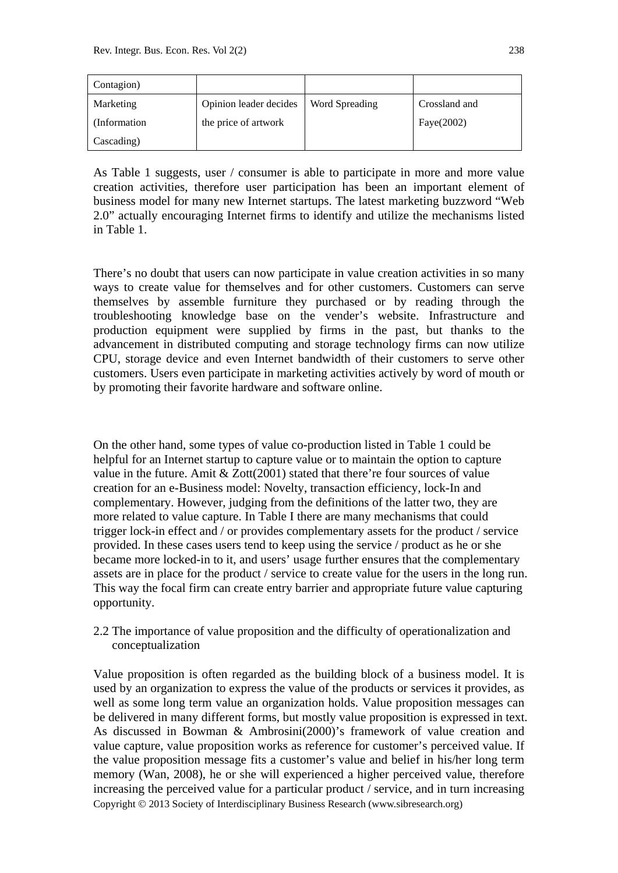| Contagion)   |                        |                |               |
|--------------|------------------------|----------------|---------------|
| Marketing    | Opinion leader decides | Word Spreading | Crossland and |
| (Information | the price of artwork   |                | Faye $(2002)$ |
| Cascading)   |                        |                |               |

As Table 1 suggests, user / consumer is able to participate in more and more value creation activities, therefore user participation has been an important element of business model for many new Internet startups. The latest marketing buzzword "Web 2.0" actually encouraging Internet firms to identify and utilize the mechanisms listed in Table 1.

There's no doubt that users can now participate in value creation activities in so many ways to create value for themselves and for other customers. Customers can serve themselves by assemble furniture they purchased or by reading through the troubleshooting knowledge base on the vender's website. Infrastructure and production equipment were supplied by firms in the past, but thanks to the advancement in distributed computing and storage technology firms can now utilize CPU, storage device and even Internet bandwidth of their customers to serve other customers. Users even participate in marketing activities actively by word of mouth or by promoting their favorite hardware and software online.

On the other hand, some types of value co-production listed in Table 1 could be helpful for an Internet startup to capture value or to maintain the option to capture value in the future. Amit  $& Zott(2001)$  stated that there're four sources of value creation for an e-Business model: Novelty, transaction efficiency, lock-In and complementary. However, judging from the definitions of the latter two, they are more related to value capture. In Table I there are many mechanisms that could trigger lock-in effect and / or provides complementary assets for the product / service provided. In these cases users tend to keep using the service / product as he or she became more locked-in to it, and users' usage further ensures that the complementary assets are in place for the product / service to create value for the users in the long run. This way the focal firm can create entry barrier and appropriate future value capturing opportunity.

2.2 The importance of value proposition and the difficulty of operationalization and conceptualization

Copyright 2013 Society of Interdisciplinary Business Research (www.sibresearch.org) Value proposition is often regarded as the building block of a business model. It is used by an organization to express the value of the products or services it provides, as well as some long term value an organization holds. Value proposition messages can be delivered in many different forms, but mostly value proposition is expressed in text. As discussed in Bowman & Ambrosini(2000)'s framework of value creation and value capture, value proposition works as reference for customer's perceived value. If the value proposition message fits a customer's value and belief in his/her long term memory (Wan, 2008), he or she will experienced a higher perceived value, therefore increasing the perceived value for a particular product / service, and in turn increasing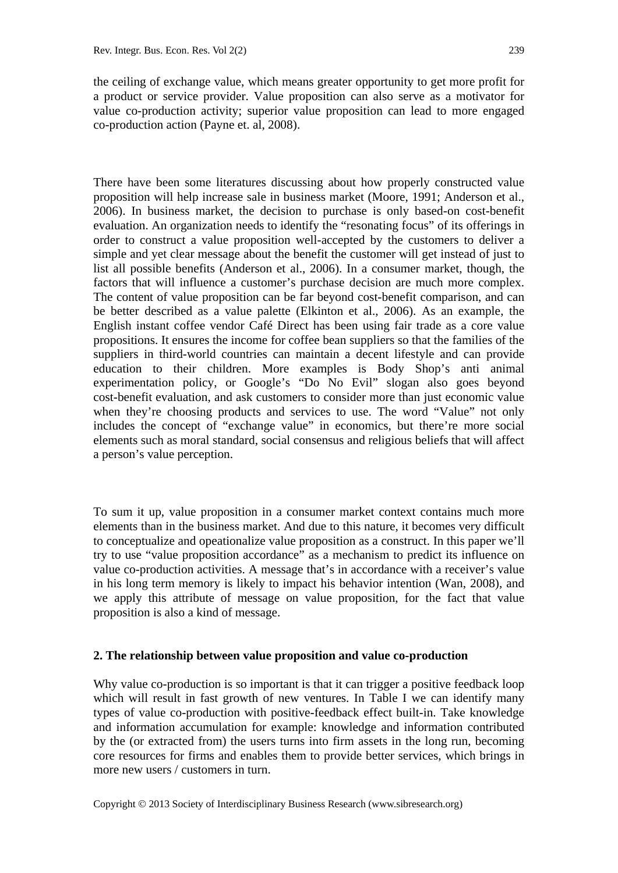the ceiling of exchange value, which means greater opportunity to get more profit for a product or service provider. Value proposition can also serve as a motivator for value co-production activity; superior value proposition can lead to more engaged co-production action (Payne et. al, 2008).

There have been some literatures discussing about how properly constructed value proposition will help increase sale in business market (Moore, 1991; Anderson et al., 2006). In business market, the decision to purchase is only based-on cost-benefit evaluation. An organization needs to identify the "resonating focus" of its offerings in order to construct a value proposition well-accepted by the customers to deliver a simple and yet clear message about the benefit the customer will get instead of just to list all possible benefits (Anderson et al., 2006). In a consumer market, though, the factors that will influence a customer's purchase decision are much more complex. The content of value proposition can be far beyond cost-benefit comparison, and can be better described as a value palette (Elkinton et al., 2006). As an example, the English instant coffee vendor Café Direct has been using fair trade as a core value propositions. It ensures the income for coffee bean suppliers so that the families of the suppliers in third-world countries can maintain a decent lifestyle and can provide education to their children. More examples is Body Shop's anti animal experimentation policy, or Google's "Do No Evil" slogan also goes beyond cost-benefit evaluation, and ask customers to consider more than just economic value when they're choosing products and services to use. The word "Value" not only includes the concept of "exchange value" in economics, but there're more social elements such as moral standard, social consensus and religious beliefs that will affect a person's value perception.

To sum it up, value proposition in a consumer market context contains much more elements than in the business market. And due to this nature, it becomes very difficult to conceptualize and opeationalize value proposition as a construct. In this paper we'll try to use "value proposition accordance" as a mechanism to predict its influence on value co-production activities. A message that's in accordance with a receiver's value in his long term memory is likely to impact his behavior intention (Wan, 2008), and we apply this attribute of message on value proposition, for the fact that value proposition is also a kind of message.

#### **2. The relationship between value proposition and value co-production**

Why value co-production is so important is that it can trigger a positive feedback loop which will result in fast growth of new ventures. In Table I we can identify many types of value co-production with positive-feedback effect built-in. Take knowledge and information accumulation for example: knowledge and information contributed by the (or extracted from) the users turns into firm assets in the long run, becoming core resources for firms and enables them to provide better services, which brings in more new users / customers in turn.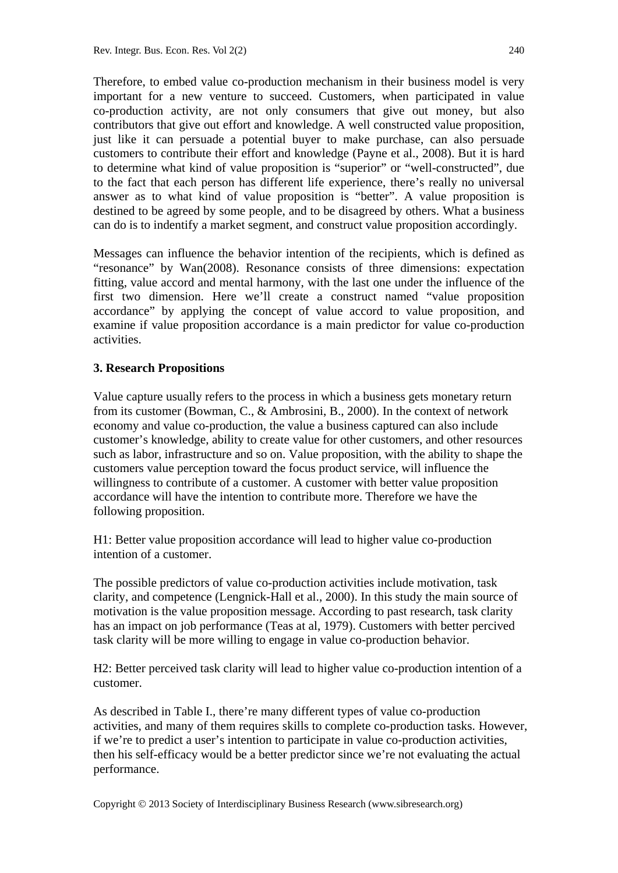Therefore, to embed value co-production mechanism in their business model is very important for a new venture to succeed. Customers, when participated in value co-production activity, are not only consumers that give out money, but also contributors that give out effort and knowledge. A well constructed value proposition, just like it can persuade a potential buyer to make purchase, can also persuade customers to contribute their effort and knowledge (Payne et al., 2008). But it is hard to determine what kind of value proposition is "superior" or "well-constructed", due to the fact that each person has different life experience, there's really no universal answer as to what kind of value proposition is "better". A value proposition is destined to be agreed by some people, and to be disagreed by others. What a business can do is to indentify a market segment, and construct value proposition accordingly.

Messages can influence the behavior intention of the recipients, which is defined as "resonance" by Wan(2008). Resonance consists of three dimensions: expectation fitting, value accord and mental harmony, with the last one under the influence of the first two dimension. Here we'll create a construct named "value proposition accordance" by applying the concept of value accord to value proposition, and examine if value proposition accordance is a main predictor for value co-production activities.

### **3. Research Propositions**

Value capture usually refers to the process in which a business gets monetary return from its customer (Bowman, C., & Ambrosini, B., 2000). In the context of network economy and value co-production, the value a business captured can also include customer's knowledge, ability to create value for other customers, and other resources such as labor, infrastructure and so on. Value proposition, with the ability to shape the customers value perception toward the focus product service, will influence the willingness to contribute of a customer. A customer with better value proposition accordance will have the intention to contribute more. Therefore we have the following proposition.

H1: Better value proposition accordance will lead to higher value co-production intention of a customer.

The possible predictors of value co-production activities include motivation, task clarity, and competence (Lengnick-Hall et al., 2000). In this study the main source of motivation is the value proposition message. According to past research, task clarity has an impact on job performance (Teas at al, 1979). Customers with better percived task clarity will be more willing to engage in value co-production behavior.

H2: Better perceived task clarity will lead to higher value co-production intention of a customer.

As described in Table I., there're many different types of value co-production activities, and many of them requires skills to complete co-production tasks. However, if we're to predict a user's intention to participate in value co-production activities, then his self-efficacy would be a better predictor since we're not evaluating the actual performance.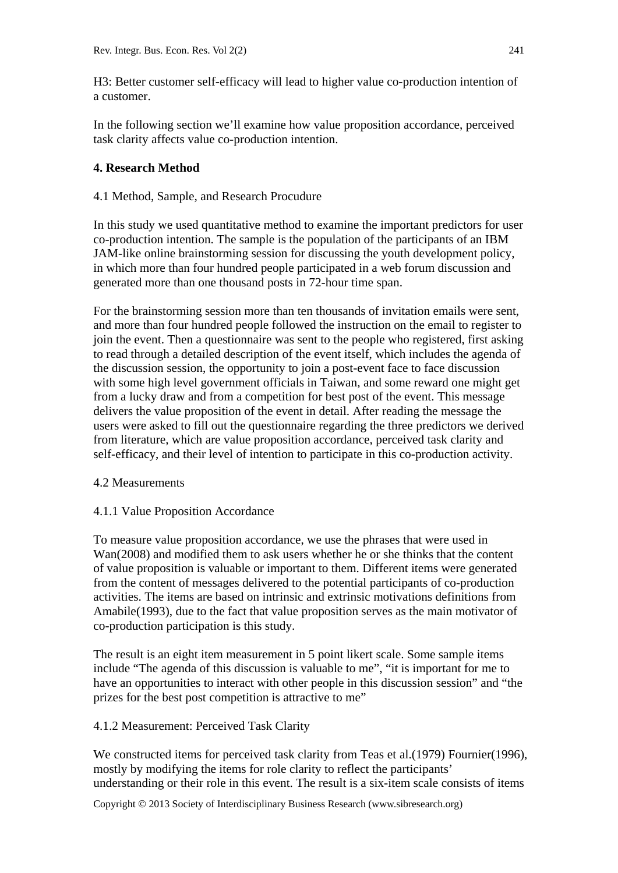H3: Better customer self-efficacy will lead to higher value co-production intention of a customer.

In the following section we'll examine how value proposition accordance, perceived task clarity affects value co-production intention.

### **4. Research Method**

#### 4.1 Method, Sample, and Research Procudure

In this study we used quantitative method to examine the important predictors for user co-production intention. The sample is the population of the participants of an IBM JAM-like online brainstorming session for discussing the youth development policy, in which more than four hundred people participated in a web forum discussion and generated more than one thousand posts in 72-hour time span.

For the brainstorming session more than ten thousands of invitation emails were sent, and more than four hundred people followed the instruction on the email to register to join the event. Then a questionnaire was sent to the people who registered, first asking to read through a detailed description of the event itself, which includes the agenda of the discussion session, the opportunity to join a post-event face to face discussion with some high level government officials in Taiwan, and some reward one might get from a lucky draw and from a competition for best post of the event. This message delivers the value proposition of the event in detail. After reading the message the users were asked to fill out the questionnaire regarding the three predictors we derived from literature, which are value proposition accordance, perceived task clarity and self-efficacy, and their level of intention to participate in this co-production activity.

#### 4.2 Measurements

### 4.1.1 Value Proposition Accordance

To measure value proposition accordance, we use the phrases that were used in Wan(2008) and modified them to ask users whether he or she thinks that the content of value proposition is valuable or important to them. Different items were generated from the content of messages delivered to the potential participants of co-production activities. The items are based on intrinsic and extrinsic motivations definitions from Amabile(1993), due to the fact that value proposition serves as the main motivator of co-production participation is this study.

The result is an eight item measurement in 5 point likert scale. Some sample items include "The agenda of this discussion is valuable to me", "it is important for me to have an opportunities to interact with other people in this discussion session" and "the prizes for the best post competition is attractive to me"

#### 4.1.2 Measurement: Perceived Task Clarity

We constructed items for perceived task clarity from Teas et al.(1979) Fournier(1996), mostly by modifying the items for role clarity to reflect the participants' understanding or their role in this event. The result is a six-item scale consists of items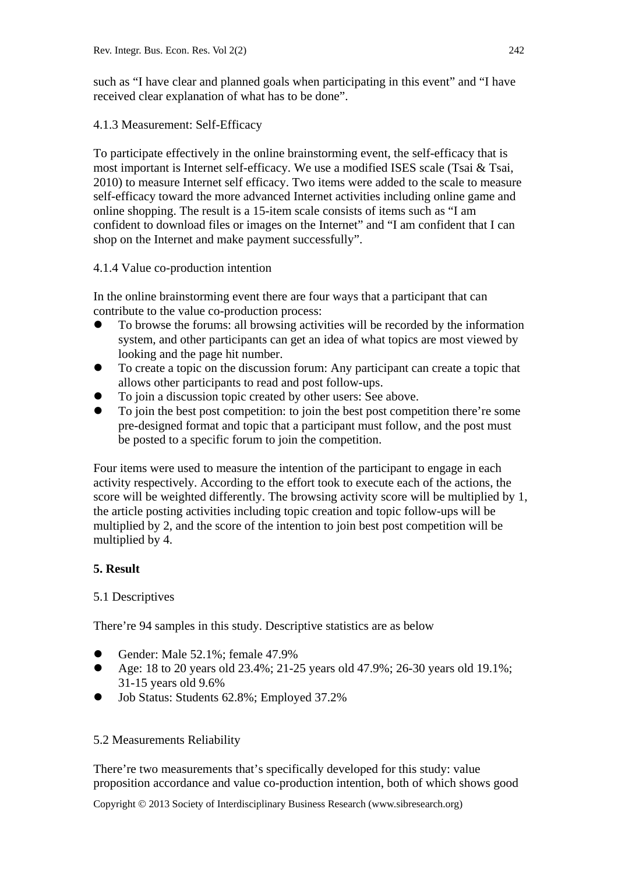such as "I have clear and planned goals when participating in this event" and "I have received clear explanation of what has to be done".

### 4.1.3 Measurement: Self-Efficacy

To participate effectively in the online brainstorming event, the self-efficacy that is most important is Internet self-efficacy. We use a modified ISES scale (Tsai  $\&$  Tsai, 2010) to measure Internet self efficacy. Two items were added to the scale to measure self-efficacy toward the more advanced Internet activities including online game and online shopping. The result is a 15-item scale consists of items such as "I am confident to download files or images on the Internet" and "I am confident that I can shop on the Internet and make payment successfully".

### 4.1.4 Value co-production intention

In the online brainstorming event there are four ways that a participant that can contribute to the value co-production process:

- To browse the forums: all browsing activities will be recorded by the information system, and other participants can get an idea of what topics are most viewed by looking and the page hit number.
- To create a topic on the discussion forum: Any participant can create a topic that allows other participants to read and post follow-ups.
- To join a discussion topic created by other users: See above.
- To join the best post competition: to join the best post competition there're some pre-designed format and topic that a participant must follow, and the post must be posted to a specific forum to join the competition.

Four items were used to measure the intention of the participant to engage in each activity respectively. According to the effort took to execute each of the actions, the score will be weighted differently. The browsing activity score will be multiplied by 1, the article posting activities including topic creation and topic follow-ups will be multiplied by 2, and the score of the intention to join best post competition will be multiplied by 4.

## **5. Result**

### 5.1 Descriptives

There're 94 samples in this study. Descriptive statistics are as below

- Gender: Male 52.1%; female 47.9%
- Age: 18 to 20 years old 23.4%; 21-25 years old 47.9%; 26-30 years old 19.1%; 31-15 years old 9.6%
- Job Status: Students 62.8%; Employed 37.2%

### 5.2 Measurements Reliability

There're two measurements that's specifically developed for this study: value proposition accordance and value co-production intention, both of which shows good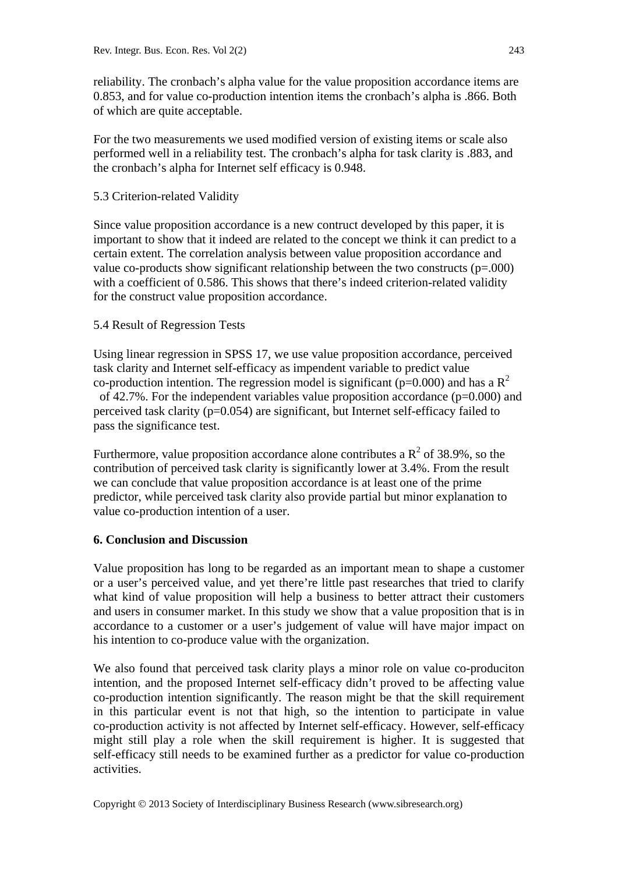reliability. The cronbach's alpha value for the value proposition accordance items are 0.853, and for value co-production intention items the cronbach's alpha is .866. Both of which are quite acceptable.

For the two measurements we used modified version of existing items or scale also performed well in a reliability test. The cronbach's alpha for task clarity is .883, and the cronbach's alpha for Internet self efficacy is 0.948.

### 5.3 Criterion-related Validity

Since value proposition accordance is a new contruct developed by this paper, it is important to show that it indeed are related to the concept we think it can predict to a certain extent. The correlation analysis between value proposition accordance and value co-products show significant relationship between the two constructs (p=.000) with a coefficient of 0.586. This shows that there's indeed criterion-related validity for the construct value proposition accordance.

### 5.4 Result of Regression Tests

Using linear regression in SPSS 17, we use value proposition accordance, perceived task clarity and Internet self-efficacy as impendent variable to predict value co-production intention. The regression model is significant ( $p=0.000$ ) and has a  $R^2$ of 42.7%. For the independent variables value proposition accordance (p=0.000) and perceived task clarity (p=0.054) are significant, but Internet self-efficacy failed to pass the significance test.

Furthermore, value proposition accordance alone contributes a  $R^2$  of 38.9%, so the contribution of perceived task clarity is significantly lower at 3.4%. From the result we can conclude that value proposition accordance is at least one of the prime predictor, while perceived task clarity also provide partial but minor explanation to value co-production intention of a user.

### **6. Conclusion and Discussion**

Value proposition has long to be regarded as an important mean to shape a customer or a user's perceived value, and yet there're little past researches that tried to clarify what kind of value proposition will help a business to better attract their customers and users in consumer market. In this study we show that a value proposition that is in accordance to a customer or a user's judgement of value will have major impact on his intention to co-produce value with the organization.

We also found that perceived task clarity plays a minor role on value co-produciton intention, and the proposed Internet self-efficacy didn't proved to be affecting value co-production intention significantly. The reason might be that the skill requirement in this particular event is not that high, so the intention to participate in value co-production activity is not affected by Internet self-efficacy. However, self-efficacy might still play a role when the skill requirement is higher. It is suggested that self-efficacy still needs to be examined further as a predictor for value co-production activities.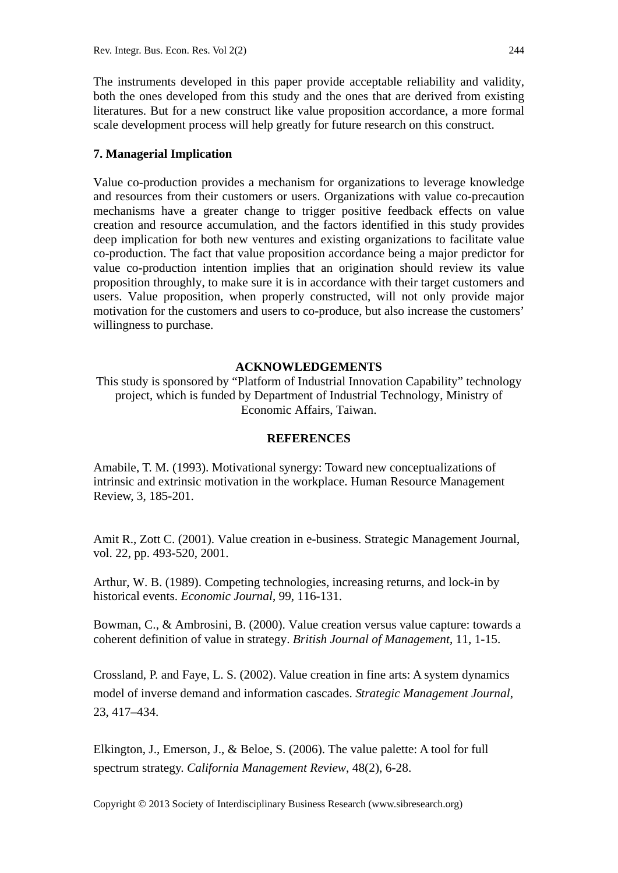The instruments developed in this paper provide acceptable reliability and validity, both the ones developed from this study and the ones that are derived from existing literatures. But for a new construct like value proposition accordance, a more formal scale development process will help greatly for future research on this construct.

#### **7. Managerial Implication**

Value co-production provides a mechanism for organizations to leverage knowledge and resources from their customers or users. Organizations with value co-precaution mechanisms have a greater change to trigger positive feedback effects on value creation and resource accumulation, and the factors identified in this study provides deep implication for both new ventures and existing organizations to facilitate value co-production. The fact that value proposition accordance being a major predictor for value co-production intention implies that an origination should review its value proposition throughly, to make sure it is in accordance with their target customers and users. Value proposition, when properly constructed, will not only provide major motivation for the customers and users to co-produce, but also increase the customers' willingness to purchase.

#### **ACKNOWLEDGEMENTS**

This study is sponsored by "Platform of Industrial Innovation Capability" technology project, which is funded by Department of Industrial Technology, Ministry of Economic Affairs, Taiwan.

#### **REFERENCES**

Amabile, T. M. (1993). Motivational synergy: Toward new conceptualizations of intrinsic and extrinsic motivation in the workplace. Human Resource Management Review, 3, 185-201.

Amit R., Zott C. (2001). Value creation in e-business. Strategic Management Journal, vol. 22, pp. 493-520, 2001.

Arthur, W. B. (1989). Competing technologies, increasing returns, and lock-in by historical events. *Economic Journal*, 99, 116-131.

Bowman, C., & Ambrosini, B. (2000). Value creation versus value capture: towards a coherent definition of value in strategy. *British Journal of Management*, 11, 1-15.

Crossland, P. and Faye, L. S. (2002). Value creation in fine arts: A system dynamics model of inverse demand and information cascades. *Strategic Management Journal*, 23, 417–434.

Elkington, J., Emerson, J., & Beloe, S. (2006). The value palette: A tool for full spectrum strategy. *California Management Review*, 48(2), 6-28.